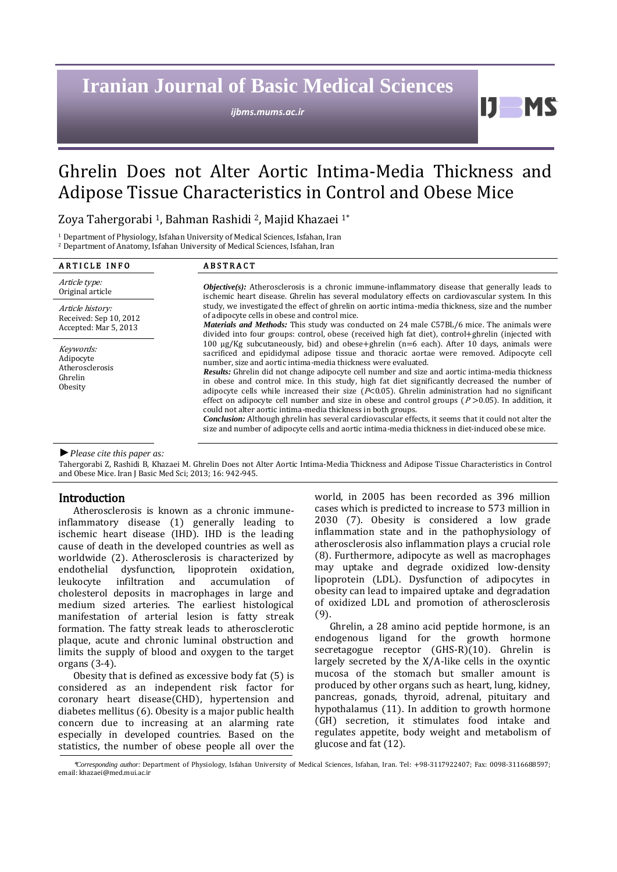# **Iranian Journal of Basic Medical Sciences**

*ijbms.mums.ac.ir*

И.

# Ghrelin Does not Alter Aortic Intima-Media Thickness and Adipose Tissue Characteristics in Control and Obese Mice

Zoya Tahergorabi <sup>1</sup>, Bahman Rashidi <sup>2</sup>, Majid Khazaei 1\*

<sup>1</sup> Department of Physiology, Isfahan University of Medical Sciences, Isfahan, Iran

<sup>2</sup> Department of Anatomy, Isfahan University of Medical Sciences, Isfahan, Iran

| <b>ARTICLE INFO</b>                                                 | <b>ABSTRACT</b>                                                                                                                                                                                                                                                                                                                                                                                                                                                                                                                                                                                                                                                                                                                                                                                                                                                                                                                                                                                                                                                                                                                                                                                                                                                                                                                                                                                                                                                                                                                                                  |
|---------------------------------------------------------------------|------------------------------------------------------------------------------------------------------------------------------------------------------------------------------------------------------------------------------------------------------------------------------------------------------------------------------------------------------------------------------------------------------------------------------------------------------------------------------------------------------------------------------------------------------------------------------------------------------------------------------------------------------------------------------------------------------------------------------------------------------------------------------------------------------------------------------------------------------------------------------------------------------------------------------------------------------------------------------------------------------------------------------------------------------------------------------------------------------------------------------------------------------------------------------------------------------------------------------------------------------------------------------------------------------------------------------------------------------------------------------------------------------------------------------------------------------------------------------------------------------------------------------------------------------------------|
| Article type:<br>Original article                                   | <b><i>Objective(s)</i></b> : Atherosclerosis is a chronic immune-inflammatory disease that generally leads to<br>ischemic heart disease. Ghrelin has several modulatory effects on cardiovascular system. In this<br>study, we investigated the effect of ghrelin on aortic intima-media thickness, size and the number<br>of adipocyte cells in obese and control mice.<br><b>Materials and Methods:</b> This study was conducted on 24 male C57BL/6 mice. The animals were<br>divided into four groups: control, obese (received high fat diet), control+ghrelin (injected with<br>100 $\mu$ g/Kg subcutaneously, bid) and obese+ghrelin (n=6 each). After 10 days, animals were<br>sacrificed and epididymal adipose tissue and thoracic aortae were removed. Adipocyte cell<br>number, size and aortic intima-media thickness were evaluated.<br><b>Results:</b> Ghrelin did not change adipocyte cell number and size and aortic intima-media thickness<br>in obese and control mice. In this study, high fat diet significantly decreased the number of<br>adipocyte cells while increased their size ( $P<0.05$ ). Ghrelin administration had no significant<br>effect on adipocyte cell number and size in obese and control groups ( $P > 0.05$ ). In addition, it<br>could not alter aortic intima-media thickness in both groups.<br><b>Conclusion:</b> Although ghrelin has several cardiovascular effects, it seems that it could not alter the<br>size and number of adipocyte cells and aortic intima-media thickness in diet-induced obese mice. |
| Article history:<br>Received: Sep 10, 2012<br>Accepted: Mar 5, 2013 |                                                                                                                                                                                                                                                                                                                                                                                                                                                                                                                                                                                                                                                                                                                                                                                                                                                                                                                                                                                                                                                                                                                                                                                                                                                                                                                                                                                                                                                                                                                                                                  |
| Keywords:<br>Adipocyte<br>Atherosclerosis<br>Ghrelin<br>Obesity     |                                                                                                                                                                                                                                                                                                                                                                                                                                                                                                                                                                                                                                                                                                                                                                                                                                                                                                                                                                                                                                                                                                                                                                                                                                                                                                                                                                                                                                                                                                                                                                  |

*►Please cite this paper as:*

Tahergorabi Z, Rashidi B, Khazaei M. Ghrelin Does not Alter Aortic Intima-Media Thickness and Adipose Tissue Characteristics in Control and Obese Mice. Iran J Basic Med Sci; 2013; 16: 942-945.

# Introduction

Atherosclerosis is known as a chronic immuneinflammatory disease (1) generally leading to ischemic heart disease (IHD). IHD is the leading cause of death in the developed countries as well as worldwide (2). Atherosclerosis is characterized by endothelial dysfunction, lipoprotein oxidation, leukocyte infiltration and accumulation of cholesterol deposits in macrophages in large and medium sized arteries. The earliest histological manifestation of arterial lesion is fatty streak formation. The fatty streak leads to atherosclerotic plaque, acute and chronic luminal obstruction and limits the supply of blood and oxygen to the target organs (3-4).

Obesity that is defined as excessive body fat (5) is considered as an independent risk factor for coronary heart disease(CHD), hypertension and diabetes mellitus (6). Obesity is a major public health concern due to increasing at an alarming rate especially in developed countries. Based on the statistics, the number of obese people all over the world, in 2005 has been recorded as 396 million cases which is predicted to increase to 573 million in 2030 (7). Obesity is considered a low grade inflammation state and in the pathophysiology of atherosclerosis also inflammation plays a crucial role (8). Furthermore, adipocyte as well as macrophages may uptake and degrade oxidized low-density lipoprotein (LDL). Dysfunction of adipocytes in obesity can lead to impaired uptake and degradation of oxidized LDL and promotion of atherosclerosis (9).

Ghrelin, a 28 amino acid peptide hormone, is an endogenous ligand for the growth hormone secretagogue receptor (GHS-R)(10). Ghrelin is largely secreted by the X/A-like cells in the oxyntic mucosa of the stomach but smaller amount is produced by other organs such as heart, lung, kidney, pancreas, gonads, thyroid, adrenal, pituitary and hypothalamus (11). In addition to growth hormone (GH) secretion, it stimulates food intake and regulates appetite, body weight and metabolism of glucose and fat (12).

<sup>\*</sup>*Corresponding author:* Department of Physiology, Isfahan University of Medical Sciences, Isfahan, Iran. Tel: +98-3117922407; Fax: 0098-3116688597; email[: khazaei@med.mui.ac.ir](mailto:khazaei@med.mui.ac.ir)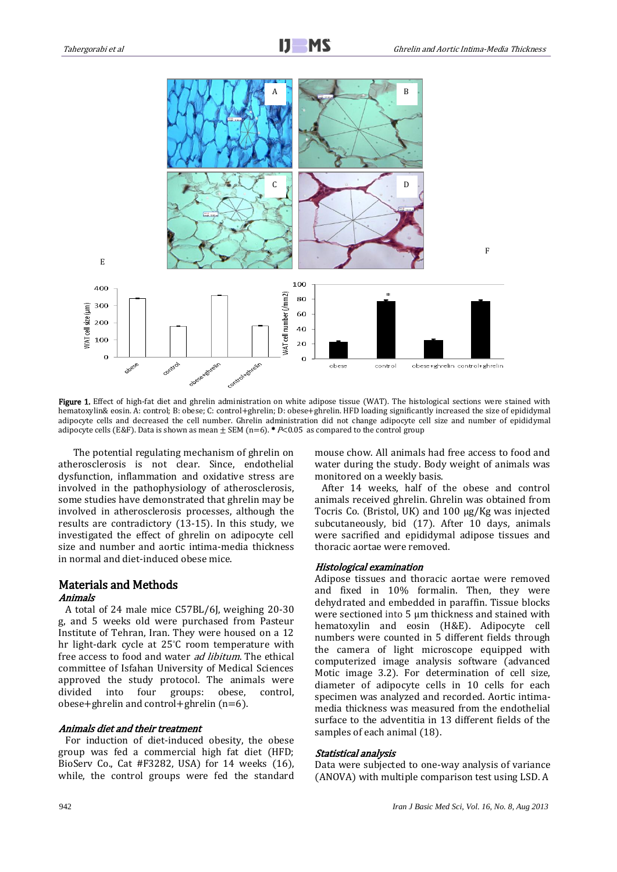

Figure 1. Effect of high-fat diet and ghrelin administration on white adipose tissue (WAT). The histological sections were stained with hematoxylin& eosin. A: control; B: obese; C: control+ghrelin; D: obese+ghrelin. HFD loading significantly increased the size of epididymal adipocyte cells and decreased the cell number. Ghrelin administration did not change adipocyte cell size and number of epididymal adipocyte cells (E&F). Data is shown as mean  $\pm$  SEM (n=6). \* P<0.05 as compared to the control group

The potential regulating mechanism of ghrelin on atherosclerosis is not clear. Since, endothelial dysfunction, inflammation and oxidative stress are involved in the pathophysiology of atherosclerosis, some studies have demonstrated that ghrelin may be involved in atherosclerosis processes, although the results are contradictory (13-15). In this study, we investigated the effect of ghrelin on adipocyte cell size and number and aortic intima-media thickness in normal and diet-induced obese mice.

# Materials and Methods

## Animals

 A total of 24 male mice C57BL/6J, weighing 20-30 g, and 5 weeks old were purchased from Pasteur Institute of Tehran, Iran. They were housed on a 12 hr light-dark cycle at 25°C room temperature with free access to food and water *ad libitum*. The ethical committee of Isfahan University of Medical Sciences approved the study protocol. The animals were divided into four groups: obese, control, obese+ghrelin and control+ghrelin  $(n=6)$ .

### Animals diet and their treatment

 For induction of diet-induced obesity, the obese group was fed a commercial high fat diet (HFD; BioServ Co., Cat #F3282, USA) for 14 weeks (16), while, the control groups were fed the standard mouse chow. All animals had free access to food and water during the study. Body weight of animals was monitored on a weekly basis.

 After 14 weeks, half of the obese and control animals received ghrelin. Ghrelin was obtained from Tocris Co. (Bristol, UK) and 100 µg/Kg was injected subcutaneously, bid (17). After 10 days, animals were sacrified and epididymal adipose tissues and thoracic aortae were removed.

# Histological examination

Adipose tissues and thoracic aortae were removed and fixed in 10% formalin. Then, they were dehydrated and embedded in paraffin. Tissue blocks were sectioned into 5 µm thickness and stained with hematoxylin and eosin (H&E). Adipocyte cell numbers were counted in 5 different fields through the camera of light microscope equipped with computerized image analysis software (advanced Motic image 3.2). For determination of cell size, diameter of adipocyte cells in 10 cells for each specimen was analyzed and recorded. Aortic intimamedia thickness was measured from the endothelial surface to the adventitia in 13 different fields of the samples of each animal (18).

#### Statistical analysis

Data were subjected to one-way analysis of variance (ANOVA) with multiple comparison test using LSD. A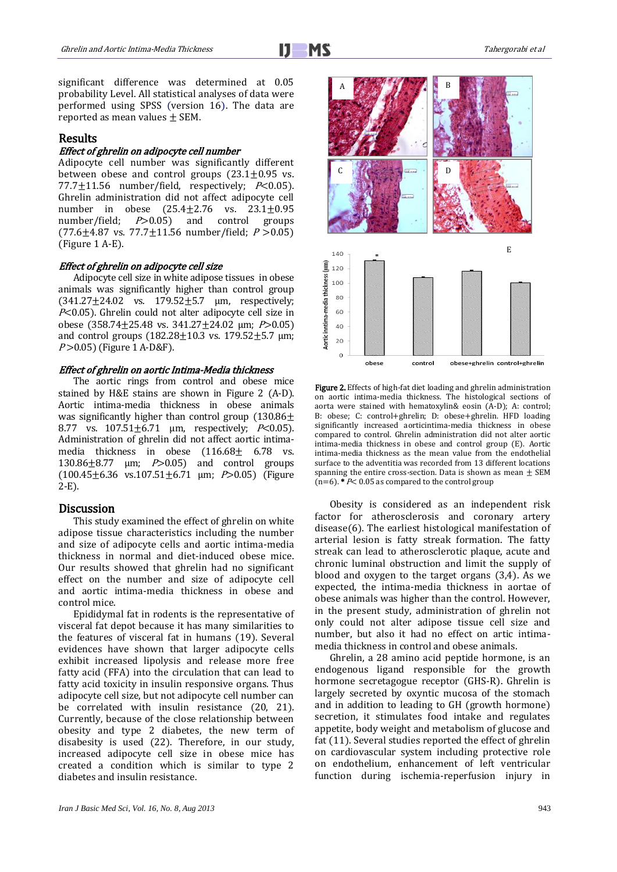

significant difference was determined at 0.05 probability Level. All statistical analyses of data were performed using SPSS (version 16). The data are reported as mean values  $\pm$  SEM.

## Results

### Effect of ghrelin on adipocyte cell number

Adipocyte cell number was significantly different between obese and control groups  $(23.1 \pm 0.95$  vs. 77.7 $\pm$ 11.56 number/field, respectively;  $P<0.05$ ). Ghrelin administration did not affect adipocyte cell number in obese  $(25.4 \pm 2.76 \text{ vs. } 23.1 \pm 0.95)$ <br>number/field;  $P > 0.05$  and control groups number/field; *P*>0.05) and control groups (77.6 $\pm$ 4.87 vs. 77.7 $\pm$ 11.56 number/field;  $P > 0.05$ ) (Figure 1 A-E).

#### Effect of ghrelin on adipocyte cell size

Adipocyte cell size in white adipose tissues in obese animals was significantly higher than control group  $(341.27 \pm 24.02 \text{ vs. } 179.52 \pm 5.7 \text{ \mu m}$ , respectively;  $P<0.05$ ). Ghrelin could not alter adipocyte cell size in obese (358.74 $\pm$ 25.48 vs. 341.27 $\pm$ 24.02 μm; P > 0.05) and control groups  $(182.28 \pm 10.3 \text{ vs. } 179.52 \pm 5.7 \text{ µm};$ P > 0.05) (Figure 1 A-D&F).

### Effect of ghrelin on aortic Intima-Media thickness

The aortic rings from control and obese mice stained by H&E stains are shown in Figure 2 (A-D). Aortic intima-media thickness in obese animals was significantly higher than control group  $(130.86\pm$ 8.77 vs.  $107.51 \pm 6.71$  µm, respectively;  $P<0.05$ ). Administration of ghrelin did not affect aortic intimamedia thickness in obese  $(116.68 \pm 6.78)$  vs. 130.86 $\pm$ 8.77  $\mu$ m; P > 0.05) and control groups (100.45 $\pm$ 6.36 vs.107.51 $\pm$ 6.71 µm; P>0.05) (Figure 2-E).

### **Discussion**

This study examined the effect of ghrelin on white adipose tissue characteristics including the number and size of adipocyte cells and aortic intima-media thickness in normal and diet-induced obese mice. Our results showed that ghrelin had no significant effect on the number and size of adipocyte cell and aortic intima-media thickness in obese and control mice.

Epididymal fat in rodents is the representative of visceral fat depot because it has many similarities to the features of visceral fat in humans (19). Several evidences have shown that larger adipocyte cells exhibit increased lipolysis and release more free fatty acid (FFA) into the circulation that can lead to fatty acid toxicity in insulin responsive organs. Thus adipocyte cell size, but not adipocyte cell number can be correlated with insulin resistance (20, 21). Currently, because of the close relationship between obesity and type 2 diabetes, the new term of disabesity is used (22). Therefore, in our study, increased adipocyte cell size in obese mice has created a condition which is similar to type 2 diabetes and insulin resistance.



Figure 2. Effects of high-fat diet loading and ghrelin administration on aortic intima-media thickness. The histological sections of aorta were stained with hematoxylin& eosin (A-D); A: control; B: obese; C: control+ghrelin; D: obese+ghrelin. HFD loading significantly increased aorticintima-media thickness in obese compared to control. Ghrelin administration did not alter aortic intima-media thickness in obese and control group (E). Aortic intima-media thickness as the mean value from the endothelial surface to the adventitia was recorded from 13 different locations spanning the entire cross-section. Data is shown as mean  $\pm$  SEM

 $(n=6)$ . \*  $P$ < 0.05 as compared to the control group

Obesity is considered as an independent risk factor for atherosclerosis and coronary artery disease(6). The earliest histological manifestation of arterial lesion is fatty streak formation. The fatty streak can lead to atherosclerotic plaque, acute and chronic luminal obstruction and limit the supply of blood and oxygen to the target organs (3,4). As we expected, the intima-media thickness in aortae of obese animals was higher than the control. However, in the present study, administration of ghrelin not only could not alter adipose tissue cell size and number, but also it had no effect on artic intimamedia thickness in control and obese animals.

Ghrelin, a 28 amino acid peptide hormone, is an endogenous ligand responsible for the growth hormone secretagogue receptor (GHS-R). Ghrelin is largely secreted by oxyntic mucosa of the stomach and in addition to leading to GH (growth hormone) secretion, it stimulates food intake and regulates appetite, body weight and metabolism of glucose and fat (11). Several studies reported the effect of ghrelin on cardiovascular system including protective role on endothelium, enhancement of left ventricular function during ischemia-reperfusion injury in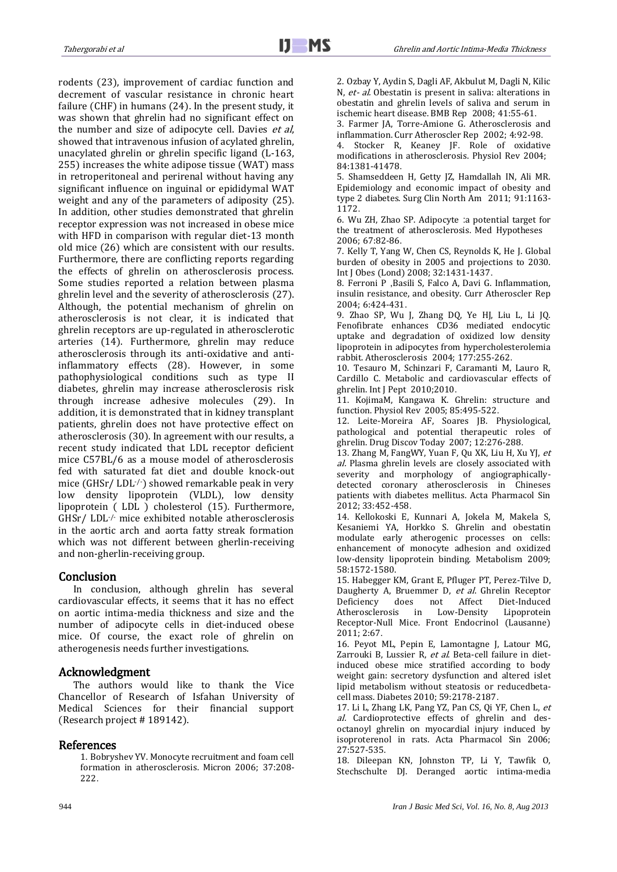rodents (23), improvement of cardiac function and decrement of vascular resistance in chronic heart failure (CHF) in humans (24). In the present study, it was shown that ghrelin had no significant effect on the number and size of adipocyte cell. Davies et al, showed that intravenous infusion of acylated ghrelin, unacylated ghrelin or ghrelin specific ligand (L-163, 255) increases the white adipose tissue (WAT) mass in retroperitoneal and perirenal without having any significant influence on inguinal or epididymal WAT weight and any of the parameters of adiposity (25). In addition, other studies demonstrated that ghrelin receptor expression was not increased in obese mice with HFD in comparison with regular diet-13 month old mice (26) which are consistent with our results. Furthermore, there are conflicting reports regarding the effects of ghrelin on atherosclerosis process. Some studies reported a relation between plasma ghrelin level and the severity of atherosclerosis (27). Although, the potential mechanism of ghrelin on atherosclerosis is not clear, it is indicated that ghrelin receptors are up-regulated in atherosclerotic arteries (14). Furthermore, ghrelin may reduce atherosclerosis through its anti-oxidative and antiinflammatory effects (28). However, in some pathophysiological conditions such as type II diabetes, ghrelin may increase atherosclerosis risk through increase adhesive molecules (29). In addition, it is demonstrated that in kidney transplant patients, ghrelin does not have protective effect on atherosclerosis (30). In agreement with our results, a recent study indicated that LDL receptor deficient mice C57BL/6 as a mouse model of atherosclerosis fed with saturated fat diet and double knock-out mice (GHSr/ LDL-/-) showed remarkable peak in very low density lipoprotein (VLDL), low density lipoprotein ( LDL ) cholesterol (15). Furthermore, GHSr/ LDL-/- mice exhibited notable atherosclerosis in the aortic arch and aorta fatty streak formation which was not different between gherlin-receiving and non-gherlin-receiving group.

# Conclusion

In conclusion, although ghrelin has several cardiovascular effects, it seems that it has no effect on aortic intima-media thickness and size and the number of adipocyte cells in diet-induced obese mice. Of course, the exact role of ghrelin on atherogenesis needs further investigations.

## Acknowledgment

The authors would like to thank the Vice Chancellor of Research of Isfahan University of Medical Sciences for their financial support (Research project # 189142).

## References

1. Bobryshev YV. Monocyte recruitment and foam cell formation in atherosclerosis. Micron 2006; 37:208- 222.

2. Ozbay Y, Aydin S, Dagli AF, Akbulut M, Dagli N, Kilic N, et- al. Obestatin is present in saliva: alterations in obestatin and ghrelin levels of saliva and serum in ischemic heart disease. BMB Rep 2008; 41:55-61.

3. Farmer JA, Torre-Amione G. Atherosclerosis and inflammation. Curr Atheroscler Rep 2002; 4:92-98.

4. Stocker R, Keaney JF. Role of oxidative modifications in atherosclerosis. Physiol Rev 2004; 84:1381-41478.

5. Shamseddeen H, Getty JZ, Hamdallah IN, Ali MR. Epidemiology and economic impact of obesity and type 2 diabetes. Surg Clin North Am 2011; 91:1163- 1172.

6. Wu ZH, Zhao SP. Adipocyte :a potential target for the treatment of atherosclerosis. Med Hypotheses 2006; 67:82-86.

7. Kelly T, Yang W, Chen CS, Reynolds K, He J. Global burden of obesity in 2005 and projections to 2030. Int J Obes (Lond) 2008; 32:1431-1437.

8. Ferroni P ,Basili S, Falco A, Davi G. Inflammation, insulin resistance, and obesity. Curr Atheroscler Rep 2004; 6:424-431.

9. Zhao SP, Wu J, Zhang DQ, Ye HJ, Liu L, Li JQ. Fenofibrate enhances CD36 mediated endocytic uptake and degradation of oxidized low density lipoprotein in adipocytes from hypercholesterolemia rabbit. Atherosclerosis 2004; 177:255-262.

10. Tesauro M, Schinzari F, Caramanti M, Lauro R, Cardillo C. Metabolic and cardiovascular effects of ghrelin. Int J Pept 2010;2010.

11. KojimaM, Kangawa K. Ghrelin: structure and function. Physiol Rev 2005; 85:495-522.

12. Leite-Moreira AF, Soares JB. Physiological, pathological and potential therapeutic roles of ghrelin. Drug Discov Today 2007; 12:276-288.

13. Zhang M, FangWY, Yuan F, Qu XK, Liu H, Xu YJ, et al. Plasma ghrelin levels are closely associated with severity and morphology of angiographicallydetected coronary atherosclerosis in Chineses patients with diabetes mellitus. Acta Pharmacol Sin 2012; 33:452-458.

14. Kellokoski E, Kunnari A, Jokela M, Makela S, Kesaniemi YA, Horkko S. Ghrelin and obestatin modulate early atherogenic processes on cells: enhancement of monocyte adhesion and oxidized low-density lipoprotein binding. Metabolism 2009; 58:1572-1580.

15. Habegger KM, Grant E, Pfluger PT, Perez-Tilve D, Daugherty A, Bruemmer D, et al. Ghrelin Receptor Deficiency does not Affect Diet-Induced Atherosclerosis in Low-Density Lipoprotein Receptor-Null Mice. Front Endocrinol (Lausanne) 2011; 2:67.

16. Peyot ML, Pepin E, Lamontagne J, Latour MG, Zarrouki B, Lussier R, et al. Beta-cell failure in dietinduced obese mice stratified according to body weight gain: secretory dysfunction and altered islet lipid metabolism without steatosis or reducedbetacell mass. Diabetes 2010; 59:2178-2187.

17. Li L, Zhang LK, Pang YZ, Pan CS, Qi YF, Chen L, et al. Cardioprotective effects of ghrelin and desoctanoyl ghrelin on myocardial injury induced by isoproterenol in rats. Acta Pharmacol Sin 2006; 27:527-535.

18. Dileepan KN, Johnston TP, Li Y, Tawfik O, Stechschulte DJ. Deranged aortic intima-media